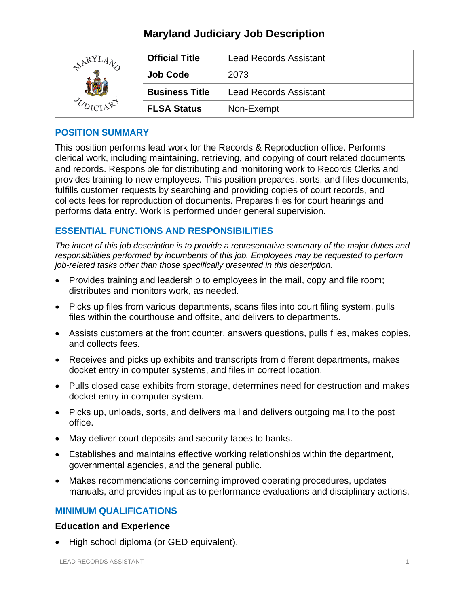# **Maryland Judiciary Job Description**

| RY | <b>Official Title</b> | <b>Lead Records Assistant</b> |
|----|-----------------------|-------------------------------|
|    | <b>Job Code</b>       | 2073                          |
|    | <b>Business Title</b> | <b>Lead Records Assistant</b> |
|    | <b>FLSA Status</b>    | Non-Exempt                    |

## **POSITION SUMMARY**

This position performs lead work for the Records & Reproduction office. Performs clerical work, including maintaining, retrieving, and copying of court related documents and records. Responsible for distributing and monitoring work to Records Clerks and provides training to new employees. This position prepares, sorts, and files documents, fulfills customer requests by searching and providing copies of court records, and collects fees for reproduction of documents. Prepares files for court hearings and performs data entry. Work is performed under general supervision.

## **ESSENTIAL FUNCTIONS AND RESPONSIBILITIES**

*The intent of this job description is to provide a representative summary of the major duties and responsibilities performed by incumbents of this job. Employees may be requested to perform job-related tasks other than those specifically presented in this description.*

- Provides training and leadership to employees in the mail, copy and file room; distributes and monitors work, as needed.
- Picks up files from various departments, scans files into court filing system, pulls files within the courthouse and offsite, and delivers to departments.
- Assists customers at the front counter, answers questions, pulls files, makes copies, and collects fees.
- Receives and picks up exhibits and transcripts from different departments, makes docket entry in computer systems, and files in correct location.
- Pulls closed case exhibits from storage, determines need for destruction and makes docket entry in computer system.
- Picks up, unloads, sorts, and delivers mail and delivers outgoing mail to the post office.
- May deliver court deposits and security tapes to banks.
- Establishes and maintains effective working relationships within the department, governmental agencies, and the general public.
- Makes recommendations concerning improved operating procedures, updates manuals, and provides input as to performance evaluations and disciplinary actions.

## **MINIMUM QUALIFICATIONS**

## **Education and Experience**

• High school diploma (or GED equivalent).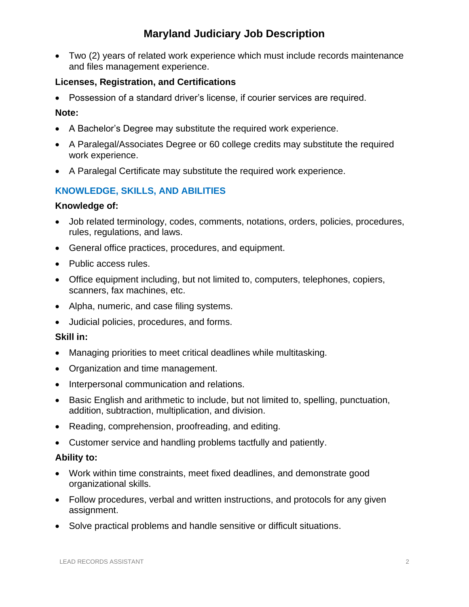# **Maryland Judiciary Job Description**

• Two (2) years of related work experience which must include records maintenance and files management experience.

## **Licenses, Registration, and Certifications**

• Possession of a standard driver's license, if courier services are required.

### **Note:**

- A Bachelor's Degree may substitute the required work experience.
- A Paralegal/Associates Degree or 60 college credits may substitute the required work experience.
- A Paralegal Certificate may substitute the required work experience.

## **KNOWLEDGE, SKILLS, AND ABILITIES**

### **Knowledge of:**

- Job related terminology, codes, comments, notations, orders, policies, procedures, rules, regulations, and laws.
- General office practices, procedures, and equipment.
- Public access rules.
- Office equipment including, but not limited to, computers, telephones, copiers, scanners, fax machines, etc.
- Alpha, numeric, and case filing systems.
- Judicial policies, procedures, and forms.

## **Skill in:**

- Managing priorities to meet critical deadlines while multitasking.
- Organization and time management.
- Interpersonal communication and relations.
- Basic English and arithmetic to include, but not limited to, spelling, punctuation, addition, subtraction, multiplication, and division.
- Reading, comprehension, proofreading, and editing.
- Customer service and handling problems tactfully and patiently.

#### **Ability to:**

- Work within time constraints, meet fixed deadlines, and demonstrate good organizational skills.
- Follow procedures, verbal and written instructions, and protocols for any given assignment.
- Solve practical problems and handle sensitive or difficult situations.